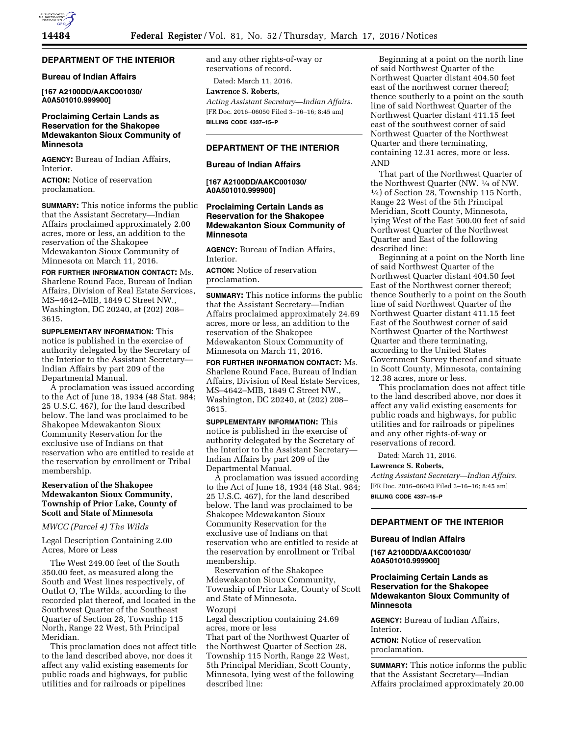

# **DEPARTMENT OF THE INTERIOR**

### **Bureau of Indian Affairs**

**[167 A2100DD/AAKC001030/ A0A501010.999900]** 

# **Proclaiming Certain Lands as Reservation for the Shakopee Mdewakanton Sioux Community of Minnesota**

**AGENCY:** Bureau of Indian Affairs, Interior.

**ACTION:** Notice of reservation proclamation.

**SUMMARY:** This notice informs the public that the Assistant Secretary—Indian Affairs proclaimed approximately 2.00 acres, more or less, an addition to the reservation of the Shakopee Mdewakanton Sioux Community of Minnesota on March 11, 2016.

**FOR FURTHER INFORMATION CONTACT:** Ms. Sharlene Round Face, Bureau of Indian Affairs, Division of Real Estate Services, MS–4642–MIB, 1849 C Street NW., Washington, DC 20240, at (202) 208– 3615.

**SUPPLEMENTARY INFORMATION:** This notice is published in the exercise of authority delegated by the Secretary of the Interior to the Assistant Secretary— Indian Affairs by part 209 of the Departmental Manual.

A proclamation was issued according to the Act of June 18, 1934 (48 Stat. 984; 25 U.S.C. 467), for the land described below. The land was proclaimed to be Shakopee Mdewakanton Sioux Community Reservation for the exclusive use of Indians on that reservation who are entitled to reside at the reservation by enrollment or Tribal membership.

# **Reservation of the Shakopee Mdewakanton Sioux Community, Township of Prior Lake, County of Scott and State of Minnesota**

### *MWCC (Parcel 4) The Wilds*

Legal Description Containing 2.00 Acres, More or Less

The West 249.00 feet of the South 350.00 feet, as measured along the South and West lines respectively, of Outlot O, The Wilds, according to the recorded plat thereof, and located in the Southwest Quarter of the Southeast Quarter of Section 28, Township 115 North, Range 22 West, 5th Principal Meridian.

This proclamation does not affect title to the land described above, nor does it affect any valid existing easements for public roads and highways, for public utilities and for railroads or pipelines

and any other rights-of-way or reservations of record.

Dated: March 11, 2016.

**Lawrence S. Roberts,**  *Acting Assistant Secretary—Indian Affairs.*  [FR Doc. 2016–06050 Filed 3–16–16; 8:45 am]

**BILLING CODE 4337–15–P** 

# **DEPARTMENT OF THE INTERIOR**

### **Bureau of Indian Affairs**

**[167 A2100DD/AAKC001030/ A0A501010.999900]** 

## **Proclaiming Certain Lands as Reservation for the Shakopee Mdewakanton Sioux Community of Minnesota**

**AGENCY:** Bureau of Indian Affairs, **Interior** 

**ACTION:** Notice of reservation proclamation.

**SUMMARY:** This notice informs the public that the Assistant Secretary—Indian Affairs proclaimed approximately 24.69 acres, more or less, an addition to the reservation of the Shakopee Mdewakanton Sioux Community of Minnesota on March 11, 2016.

**FOR FURTHER INFORMATION CONTACT:** Ms. Sharlene Round Face, Bureau of Indian Affairs, Division of Real Estate Services, MS–4642–MIB, 1849 C Street NW., Washington, DC 20240, at (202) 208– 3615.

**SUPPLEMENTARY INFORMATION:** This notice is published in the exercise of authority delegated by the Secretary of the Interior to the Assistant Secretary— Indian Affairs by part 209 of the Departmental Manual.

A proclamation was issued according to the Act of June 18, 1934 (48 Stat. 984; 25 U.S.C. 467), for the land described below. The land was proclaimed to be Shakopee Mdewakanton Sioux Community Reservation for the exclusive use of Indians on that reservation who are entitled to reside at the reservation by enrollment or Tribal membership.

Reservation of the Shakopee Mdewakanton Sioux Community, Township of Prior Lake, County of Scott and State of Minnesota.

Wozupi

Legal description containing 24.69 acres, more or less

That part of the Northwest Quarter of the Northwest Quarter of Section 28, Township 115 North, Range 22 West, 5th Principal Meridian, Scott County, Minnesota, lying west of the following described line:

Beginning at a point on the north line of said Northwest Quarter of the Northwest Quarter distant 404.50 feet east of the northwest corner thereof; thence southerly to a point on the south line of said Northwest Quarter of the Northwest Quarter distant 411.15 feet east of the southwest corner of said Northwest Quarter of the Northwest Quarter and there terminating, containing 12.31 acres, more or less. AND

That part of the Northwest Quarter of the Northwest Quarter (NW. 1⁄4 of NW. 1⁄4) of Section 28, Township 115 North, Range 22 West of the 5th Principal Meridian, Scott County, Minnesota, lying West of the East 500.00 feet of said Northwest Quarter of the Northwest Quarter and East of the following described line:

Beginning at a point on the North line of said Northwest Quarter of the Northwest Quarter distant 404.50 feet East of the Northwest corner thereof; thence Southerly to a point on the South line of said Northwest Quarter of the Northwest Quarter distant 411.15 feet East of the Southwest corner of said Northwest Quarter of the Northwest Quarter and there terminating, according to the United States Government Survey thereof and situate in Scott County, Minnesota, containing 12.38 acres, more or less.

This proclamation does not affect title to the land described above, nor does it affect any valid existing easements for public roads and highways, for public utilities and for railroads or pipelines and any other rights-of-way or reservations of record.

Dated: March 11, 2016.

#### **Lawrence S. Roberts,**

*Acting Assistant Secretary—Indian Affairs.*  [FR Doc. 2016–06043 Filed 3–16–16; 8:45 am] **BILLING CODE 4337–15–P** 

# **DEPARTMENT OF THE INTERIOR**

### **Bureau of Indian Affairs**

**[167 A2100DD/AAKC001030/ A0A501010.999900]** 

# **Proclaiming Certain Lands as Reservation for the Shakopee Mdewakanton Sioux Community of Minnesota**

**AGENCY:** Bureau of Indian Affairs, Interior.

**ACTION:** Notice of reservation proclamation.

**SUMMARY:** This notice informs the public that the Assistant Secretary—Indian Affairs proclaimed approximately 20.00